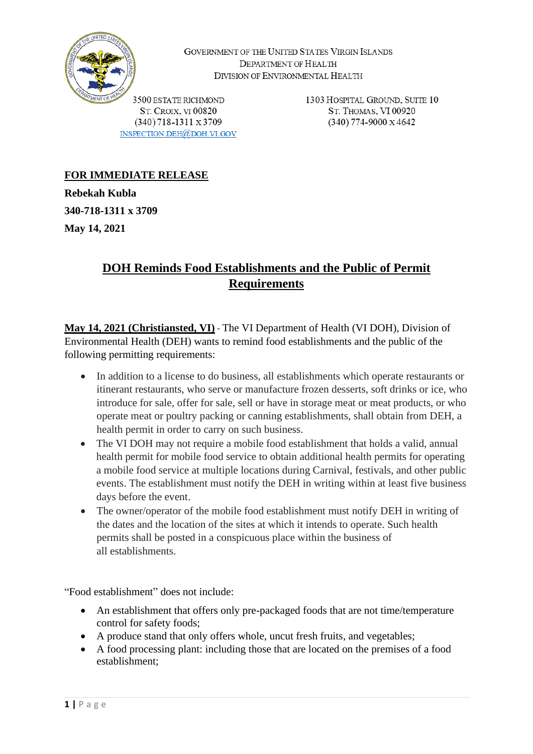

GOVERNMENT OF THE UNITED STATES VIRGIN ISLANDS DEPARTMENT OF HEALTH DIVISION OF ENVIRONMENTAL HEALTH

3500 ESTATE RICHMOND **ST. CROIX. VI 00820**  $(340)$  718-1311 x 3709 INSPECTION.DEH@DOH.VI.GOV 1303 HOSPITAL GROUND, SUITE 10 ST. THOMAS, VI 00920  $(340)$  774-9000 x 4642

## **FOR IMMEDIATE RELEASE**

**Rebekah Kubla 340-718-1311 x 3709 May 14, 2021**

## **DOH Reminds Food Establishments and the Public of Permit Requirements**

**May 14, 2021 (Christiansted, VI)** - The VI Department of Health (VI DOH), Division of Environmental Health (DEH) wants to remind food establishments and the public of the following permitting requirements:

- In addition to a license to do business, all establishments which operate restaurants or itinerant restaurants, who serve or manufacture frozen desserts, soft drinks or ice, who introduce for sale, offer for sale, sell or have in storage meat or meat products, or who operate meat or poultry packing or canning establishments, shall obtain from DEH, a health permit in order to carry on such business.
- The VI DOH may not require a mobile food establishment that holds a valid, annual health permit for mobile food service to obtain additional health permits for operating a mobile food service at multiple locations during Carnival, festivals, and other public events. The establishment must notify the DEH in writing within at least five business days before the event.
- The owner/operator of the mobile food establishment must notify DEH in writing of the dates and the location of the sites at which it intends to operate. Such health permits shall be posted in a conspicuous place within the business of all establishments.

"Food establishment" does not include:

- An establishment that offers only pre-packaged foods that are not time/temperature control for safety foods;
- A produce stand that only offers whole, uncut fresh fruits, and vegetables;
- A food processing plant: including those that are located on the premises of a food establishment;